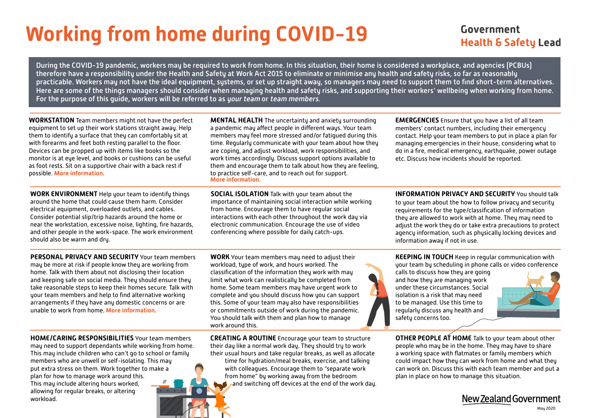# **Working from home during COVID-19**

### Government **Health & Safety Lead**

During the COVID-19 pandemic, workers may be required to work from home. In this situation, their home is considered a workplace, and agencies (PCBUs) therefore have a responsibility under the Health and Safety at Work Act 2015 to eliminate or minimise any health and safety risks, so far as reasonably practicable. Workers may not have the ideal equipment, systems, or set up straight away, so managers may need to support them to find short-term alternatives. Here are some of the things managers should consider when managing health and safety risks, and supporting their workers' wellbeing when working from home. For the purpose of this quide, workers will be referred to as your team or team members.

**WORKSTATION** Team members might not have the perfect equipment to set up their work stations straight away. Help them to identify a surface that they can comfortably sit at with forearms and feet both resting parallel to the floor. Devices can be propped up with items like books so the monitor is at eye level, and books or cushions can be useful as foot rests. Sit on a supportive chair with a back rest if possible. **[More information](https://www.tbihealth.co.nz/wp-content/uploads/2016/11/TBI-Health-Im-At-My-Workstation-1.pdf)**.

**WORK ENVIRONMENT** Help your team to identify things around the home that could cause them harm. Consider electrical equipment, overloaded outlets, and cables. Consider potential slip/trip hazards around the home or near the workstation, excessive noise, lighting, fire hazards, and other people in the work-space. The work environment should also be warm and dry.

**MENTAL HEALTH** The uncertainty and anxiety surrounding a pandemic may affect people in different ways. Your team members may feel more stressed and/or fatigued during this time. Regularly communicate with your team about how they are coping, and adjust workload, work responsibilities, and work times accordingly. Discuss support options available to them and encourage them to talk about how they are feeling, to practice self-care, and to reach out for support. **[More information](https://www.mentalhealth.org.nz/get-help/covid-19/)**.

**SOCIAL ISOLATION** Talk with your team about the importance of maintaining social interaction while working from home. Encourage them to have regular social interactions with each other throughout the work day via electronic communication. Encourage the use of video conferencing where possible for daily catch-ups.

**PERSONAL PRIVACY AND SECURITY** Your team members may be more at risk if people know they are working from home. Talk with them about not disclosing their location and keeping safe on social media. They should ensure they take reasonable steps to keep their homes secure. Talk with your team members and help to find alternative working arrangements if they have any domestic concerns or are unable to work from home. **[More information](https://protectivesecurity.govt.nz/information-security/managing-specific-scenarios/mobile-and-remote-working/)**.

**WORK** Your team members may need to adjust their workload, type of work, and hours worked. The classification of the information they work with may limit what work can realistically be completed from home. Some team members may have urgent work to complete and you should discuss how you can support this. Some of your team may also have responsibilities or commitments outside of work during the pandemic. You should talk with them and plan how to manage work around this.

**CREATING A ROUTINE** Encourage your team to structure their day like a normal work day. They should try to work their usual hours and take regular breaks, as well as allocate

time for hydration/meal breaks, exercise, and talking with colleagues. Encourage them to "separate work from home" by working away from the bedroom and switching off devices at the end of the work day. **EMERGENCIES** Ensure that you have a list of all team members' contact numbers, including their emergency contact. Help your team members to put in place a plan for managing emergencies in their house, considering what to do in a fire, medical emergency, earthquake, power outage etc. Discuss how incidents should be reported.

**INFORMATION PRIVACY AND SECURITY** You should talk to your team about the how to follow privacy and security requirements for the type/classification of information they are allowed to work with at home. They may need to adjust the work they do or take extra precautions to protect agency information, such as physically locking devices and information away if not in use.

**KEEPING IN TOUCH** Keep in regular communication with your team by scheduling in phone calls or video conference

calls to discuss how they are going and how they are managing work under these circumstances. Social isolation is a risk that may need to be managed. Use this time to regularly discuss any health and safety concerns too.



**OTHER PEOPLE AT HOME** Talk to your team about other people who may be in the home. They may have to share a working space with flatmates or family members which could impact how they can work from home and what they can work on. Discuss this with each team member and put a plan in place on how to manage this situation.

New Zealand Government

**HOME/CARING RESPONSIBILITIES** Your team members may need to support dependants while working from home. This may include children who can't go to school or family

members who are unwell or self-isolating. This may put extra stress on them. Work together to make a plan for how to manage work around this. This may include altering hours worked, allowing for regular breaks, or altering workload.





May 2020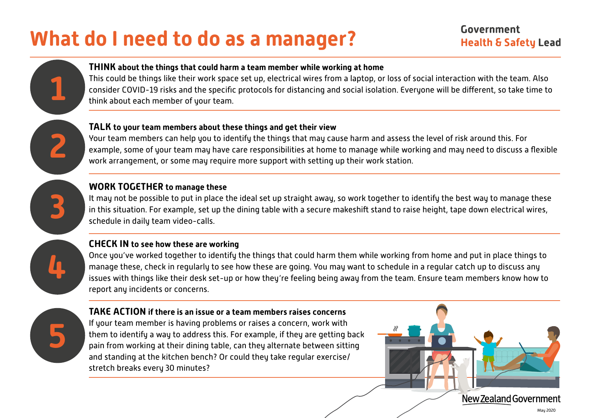# **What do I need to do as a manager?**



This could be things like their work space set up, electrical wires from a laptop, or loss of social interaction with the team. Also consider COVID-19 risks and the specific protocols for distancing and social isolation. Everyone will be different, so take time to think about each member of your team.

#### **TALK to your team members about these things and get their view**

Your team members can help you to identify the things that may cause harm and assess the level of risk around this. For example, some of your team may have care responsibilities at home to manage while working and may need to discuss a flexible work arrangement, or some may require more support with setting up their work station.



**1**

**2**

### **WORK TOGETHER to manage these**

It may not be possible to put in place the ideal set up straight away, so work together to identify the best way to manage these in this situation. For example, set up the dining table with a secure makeshift stand to raise height, tape down electrical wires, schedule in daily team video-calls.



### **CHECK IN to see how these are working**

Once you've worked together to identify the things that could harm them while working from home and put in place things to manage these, check in regularly to see how these are going. You may want to schedule in a regular catch up to discuss any issues with things like their desk set-up or how they're feeling being away from the team. Ensure team members know how to report any incidents or concerns.



#### **TAKE ACTION if there is an issue or a team members raises concerns**

If your team member is having problems or raises a concern, work with them to identify a way to address this. For example, if they are getting back pain from working at their dining table, can they alternate between sitting and standing at the kitchen bench? Or could they take regular exercise/ stretch breaks every 30 minutes?